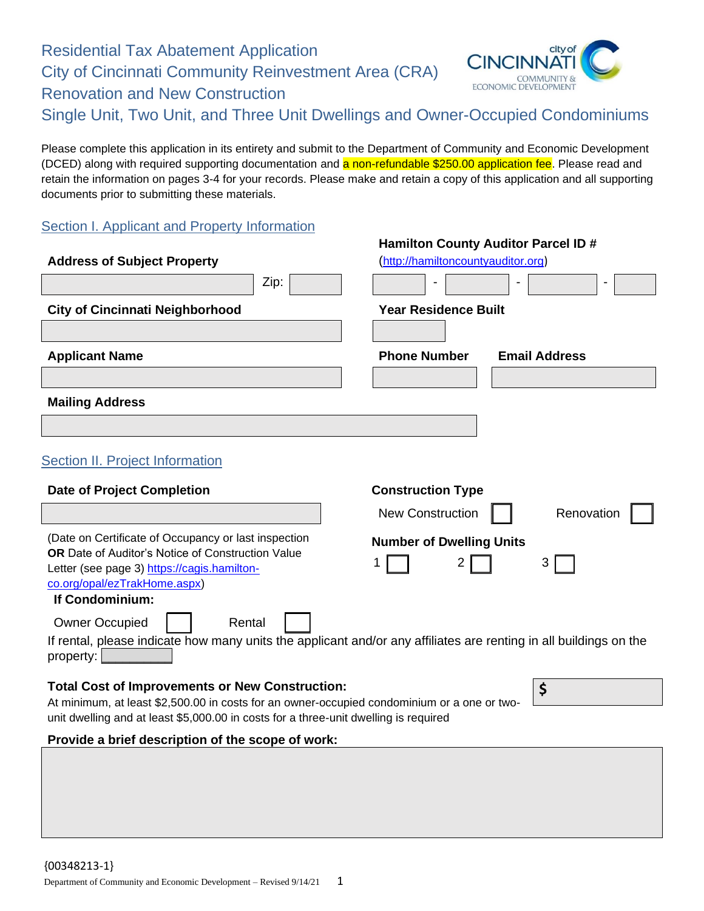Residential Tax Abatement Application City of Cincinnati Community Reinvestment Area (CRA) Renovation and New Construction Single Unit, Two Unit, and Three Unit Dwellings and Owner-Occupied Condominiums



**Hamilton County Auditor Parcel ID #**

Please complete this application in its entirety and submit to the Department of Community and Economic Development (DCED) along with required supporting documentation and a non-refundable \$250.00 application fee. Please read and retain the information on pages 3-4 for your records. Please make and retain a copy of this application and all supporting documents prior to submitting these materials.

# **Section I. Applicant and Property Information**

|                                                                                                                                                                                     |      | Hallillon County Additor Farcel ID # |                      |
|-------------------------------------------------------------------------------------------------------------------------------------------------------------------------------------|------|--------------------------------------|----------------------|
| <b>Address of Subject Property</b>                                                                                                                                                  |      | (http://hamiltoncountyauditor.org)   |                      |
|                                                                                                                                                                                     | Zip: |                                      |                      |
| <b>City of Cincinnati Neighborhood</b>                                                                                                                                              |      | <b>Year Residence Built</b>          |                      |
|                                                                                                                                                                                     |      |                                      |                      |
| <b>Applicant Name</b>                                                                                                                                                               |      | <b>Phone Number</b>                  | <b>Email Address</b> |
|                                                                                                                                                                                     |      |                                      |                      |
| <b>Mailing Address</b>                                                                                                                                                              |      |                                      |                      |
|                                                                                                                                                                                     |      |                                      |                      |
| <b>Section II. Project Information</b>                                                                                                                                              |      |                                      |                      |
| <b>Date of Project Completion</b>                                                                                                                                                   |      | <b>Construction Type</b>             |                      |
|                                                                                                                                                                                     |      | <b>New Construction</b>              | Renovation           |
| (Date on Certificate of Occupancy or last inspection                                                                                                                                |      | <b>Number of Dwelling Units</b>      |                      |
| <b>OR</b> Date of Auditor's Notice of Construction Value                                                                                                                            |      |                                      |                      |
| Letter (see page 3) https://cagis.hamilton-<br>co.org/opal/ezTrakHome.aspx)                                                                                                         |      |                                      |                      |
| If Condominium:                                                                                                                                                                     |      |                                      |                      |
| <b>Owner Occupied</b><br>Rental                                                                                                                                                     |      |                                      |                      |
| If rental, please indicate how many units the applicant and/or any affiliates are renting in all buildings on the                                                                   |      |                                      |                      |
| property:                                                                                                                                                                           |      |                                      |                      |
| <b>Total Cost of Improvements or New Construction:</b>                                                                                                                              |      |                                      | \$                   |
| At minimum, at least \$2,500.00 in costs for an owner-occupied condominium or a one or two-<br>unit dwelling and at least \$5,000.00 in costs for a three-unit dwelling is required |      |                                      |                      |
|                                                                                                                                                                                     |      |                                      |                      |
| Provide a brief description of the scope of work:                                                                                                                                   |      |                                      |                      |
|                                                                                                                                                                                     |      |                                      |                      |
|                                                                                                                                                                                     |      |                                      |                      |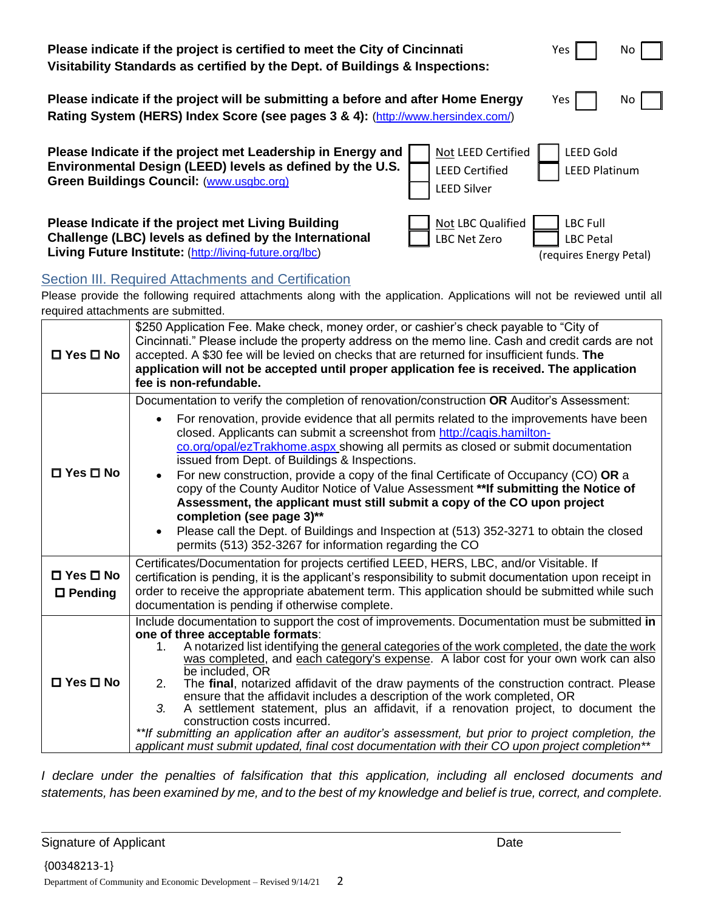| Please indicate if the project is certified to meet the City of Cincinnati                                                                                                  | Yes                                                                                                           |
|-----------------------------------------------------------------------------------------------------------------------------------------------------------------------------|---------------------------------------------------------------------------------------------------------------|
| Visitability Standards as certified by the Dept. of Buildings & Inspections:                                                                                                | No.                                                                                                           |
| Please indicate if the project will be submitting a before and after Home Energy                                                                                            | Yes                                                                                                           |
| Rating System (HERS) Index Score (see pages 3 & 4): (http://www.hersindex.com/)                                                                                             | No.                                                                                                           |
| Please Indicate if the project met Leadership in Energy and<br>Environmental Design (LEED) levels as defined by the U.S.<br><b>Green Buildings Council: (www.usgbc.org)</b> | Not LEED Certified<br><b>LEED Gold</b><br><b>LEED Certified</b><br><b>LEED Platinum</b><br><b>LEED Silver</b> |
| Please Indicate if the project met Living Building<br>Challenge (LBC) levels as defined by the International<br>Living Future Institute: (http://living-future.org/lbc)     | Not LBC Qualified<br><b>LBC Full</b><br>LBC Net Zero<br><b>LBC Petal</b><br>(requires Energy Petal)           |

## Section III. Required Attachments and Certification

Please provide the following required attachments along with the application. Applications will not be reviewed until all required attachments are submitted.

| $\Box$ Yes $\Box$ No                   | \$250 Application Fee. Make check, money order, or cashier's check payable to "City of<br>Cincinnati." Please include the property address on the memo line. Cash and credit cards are not<br>accepted. A \$30 fee will be levied on checks that are returned for insufficient funds. The<br>application will not be accepted until proper application fee is received. The application<br>fee is non-refundable.                                                                                                                                                                                                                                                                                                                                                                                                                                                       |
|----------------------------------------|-------------------------------------------------------------------------------------------------------------------------------------------------------------------------------------------------------------------------------------------------------------------------------------------------------------------------------------------------------------------------------------------------------------------------------------------------------------------------------------------------------------------------------------------------------------------------------------------------------------------------------------------------------------------------------------------------------------------------------------------------------------------------------------------------------------------------------------------------------------------------|
| $\square$ Yes $\square$ No             | Documentation to verify the completion of renovation/construction OR Auditor's Assessment:<br>For renovation, provide evidence that all permits related to the improvements have been<br>closed. Applicants can submit a screenshot from http://cagis.hamilton-<br>co.org/opal/ezTrakhome.aspx showing all permits as closed or submit documentation<br>issued from Dept. of Buildings & Inspections.<br>For new construction, provide a copy of the final Certificate of Occupancy (CO) OR a<br>copy of the County Auditor Notice of Value Assessment ** If submitting the Notice of<br>Assessment, the applicant must still submit a copy of the CO upon project<br>completion (see page 3)**<br>Please call the Dept. of Buildings and Inspection at (513) 352-3271 to obtain the closed<br>$\bullet$<br>permits (513) 352-3267 for information regarding the CO     |
| $\Box$ Yes $\Box$ No<br>$\Box$ Pending | Certificates/Documentation for projects certified LEED, HERS, LBC, and/or Visitable. If<br>certification is pending, it is the applicant's responsibility to submit documentation upon receipt in<br>order to receive the appropriate abatement term. This application should be submitted while such<br>documentation is pending if otherwise complete.                                                                                                                                                                                                                                                                                                                                                                                                                                                                                                                |
| $\square$ Yes $\square$ No             | Include documentation to support the cost of improvements. Documentation must be submitted in<br>one of three acceptable formats:<br>A notarized list identifying the general categories of the work completed, the date the work<br>1.<br>was completed, and each category's expense. A labor cost for your own work can also<br>be included, OR<br>The final, notarized affidavit of the draw payments of the construction contract. Please<br>2.<br>ensure that the affidavit includes a description of the work completed, OR<br>3.<br>A settlement statement, plus an affidavit, if a renovation project, to document the<br>construction costs incurred.<br>**If submitting an application after an auditor's assessment, but prior to project completion, the<br>applicant must submit updated, final cost documentation with their CO upon project completion** |

*I declare under the penalties of falsification that this application, including all enclosed documents and statements, has been examined by me, and to the best of my knowledge and belief is true, correct, and complete.*

Signature of Applicant Date Controller and Date Date Date Date Date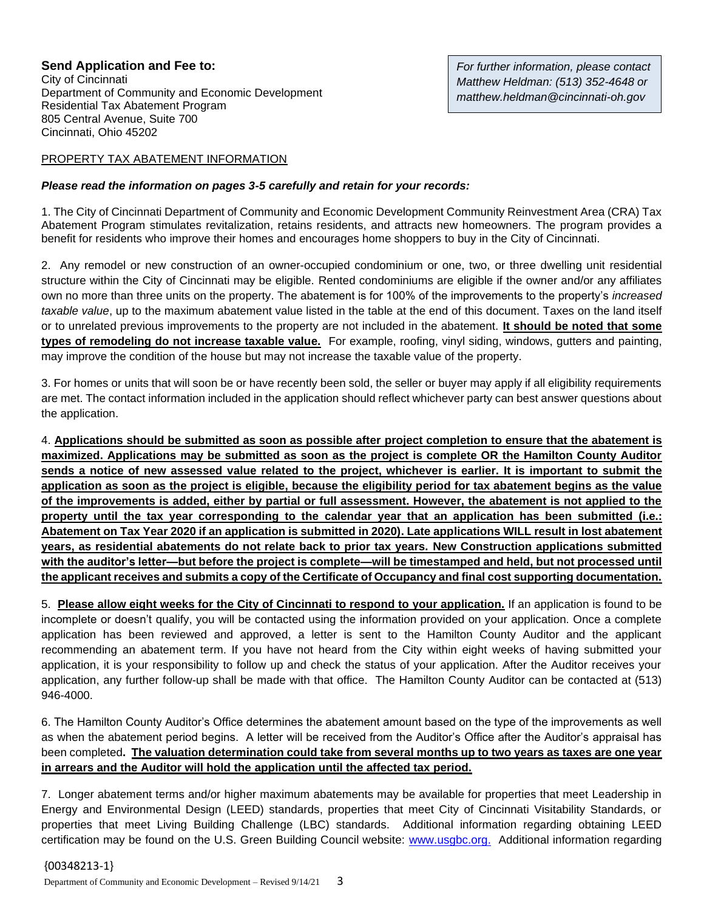## **Send Application and Fee to:**

City of Cincinnati Department of Community and Economic Development Residential Tax Abatement Program 805 Central Avenue, Suite 700 Cincinnati, Ohio 45202

### PROPERTY TAX ABATEMENT INFORMATION

#### *Please read the information on pages 3-5 carefully and retain for your records:*

1. The City of Cincinnati Department of Community and Economic Development Community Reinvestment Area (CRA) Tax Abatement Program stimulates revitalization, retains residents, and attracts new homeowners. The program provides a benefit for residents who improve their homes and encourages home shoppers to buy in the City of Cincinnati.

2. Any remodel or new construction of an owner-occupied condominium or one, two, or three dwelling unit residential structure within the City of Cincinnati may be eligible. Rented condominiums are eligible if the owner and/or any affiliates own no more than three units on the property. The abatement is for 100% of the improvements to the property's *increased taxable value*, up to the maximum abatement value listed in the table at the end of this document. Taxes on the land itself or to unrelated previous improvements to the property are not included in the abatement. **It should be noted that some types of remodeling do not increase taxable value.** For example, roofing, vinyl siding, windows, gutters and painting, may improve the condition of the house but may not increase the taxable value of the property.

3. For homes or units that will soon be or have recently been sold, the seller or buyer may apply if all eligibility requirements are met. The contact information included in the application should reflect whichever party can best answer questions about the application.

4. **Applications should be submitted as soon as possible after project completion to ensure that the abatement is maximized. Applications may be submitted as soon as the project is complete OR the Hamilton County Auditor sends a notice of new assessed value related to the project, whichever is earlier. It is important to submit the application as soon as the project is eligible, because the eligibility period for tax abatement begins as the value of the improvements is added, either by partial or full assessment. However, the abatement is not applied to the property until the tax year corresponding to the calendar year that an application has been submitted (i.e.: Abatement on Tax Year 2020 if an application is submitted in 2020). Late applications WILL result in lost abatement years, as residential abatements do not relate back to prior tax years. New Construction applications submitted with the auditor's letter—but before the project is complete—will be timestamped and held, but not processed until the applicant receives and submits a copy of the Certificate of Occupancy and final cost supporting documentation.** 

5. **Please allow eight weeks for the City of Cincinnati to respond to your application.** If an application is found to be incomplete or doesn't qualify, you will be contacted using the information provided on your application. Once a complete application has been reviewed and approved, a letter is sent to the Hamilton County Auditor and the applicant recommending an abatement term. If you have not heard from the City within eight weeks of having submitted your application, it is your responsibility to follow up and check the status of your application. After the Auditor receives your application, any further follow-up shall be made with that office. The Hamilton County Auditor can be contacted at (513) 946-4000.

6. The Hamilton County Auditor's Office determines the abatement amount based on the type of the improvements as well as when the abatement period begins. A letter will be received from the Auditor's Office after the Auditor's appraisal has been completed**. The valuation determination could take from several months up to two years as taxes are one year in arrears and the Auditor will hold the application until the affected tax period.**

7. Longer abatement terms and/or higher maximum abatements may be available for properties that meet Leadership in Energy and Environmental Design (LEED) standards, properties that meet City of Cincinnati Visitability Standards, or properties that meet Living Building Challenge (LBC) standards. Additional information regarding obtaining LEED certification may be found on the U.S. Green Building Council website: [www.usgbc.org.](http://www.usgbc.org/) Additional information regarding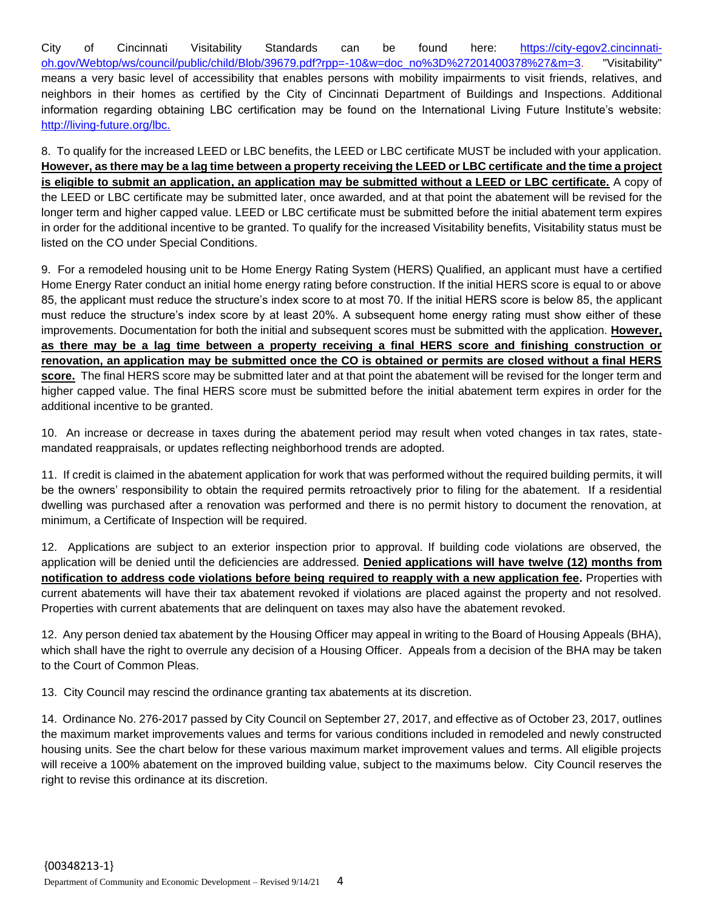City of Cincinnati Visitability Standards can be found here: [https://city-egov2.cincinnati](https://city-egov2.cincinnati-oh.gov/Webtop/ws/council/public/child/Blob/39679.pdf?rpp=-10&w=doc_no%3D%27201400378%27&m=3)[oh.gov/Webtop/ws/council/public/child/Blob/39679.pdf?rpp=-10&w=doc\\_no%3D%27201400378%27&m=3.](https://city-egov2.cincinnati-oh.gov/Webtop/ws/council/public/child/Blob/39679.pdf?rpp=-10&w=doc_no%3D%27201400378%27&m=3) "Visitability" means a very basic level of accessibility that enables persons with mobility impairments to visit friends, relatives, and neighbors in their homes as certified by the City of Cincinnati Department of Buildings and Inspections. Additional information regarding obtaining LBC certification may be found on the International Living Future Institute's website: [http://living-future.org/lbc.](http://living-future.org/lbc)

8. To qualify for the increased LEED or LBC benefits, the LEED or LBC certificate MUST be included with your application. **However, as there may be a lag time between a property receiving the LEED or LBC certificate and the time a project is eligible to submit an application, an application may be submitted without a LEED or LBC certificate.** A copy of the LEED or LBC certificate may be submitted later, once awarded, and at that point the abatement will be revised for the longer term and higher capped value. LEED or LBC certificate must be submitted before the initial abatement term expires in order for the additional incentive to be granted. To qualify for the increased Visitability benefits, Visitability status must be listed on the CO under Special Conditions.

9. For a remodeled housing unit to be Home Energy Rating System (HERS) Qualified, an applicant must have a certified Home Energy Rater conduct an initial home energy rating before construction. If the initial HERS score is equal to or above 85, the applicant must reduce the structure's index score to at most 70. If the initial HERS score is below 85, the applicant must reduce the structure's index score by at least 20%. A subsequent home energy rating must show either of these improvements. Documentation for both the initial and subsequent scores must be submitted with the application. **However, as there may be a lag time between a property receiving a final HERS score and finishing construction or renovation, an application may be submitted once the CO is obtained or permits are closed without a final HERS score.** The final HERS score may be submitted later and at that point the abatement will be revised for the longer term and higher capped value. The final HERS score must be submitted before the initial abatement term expires in order for the additional incentive to be granted.

10. An increase or decrease in taxes during the abatement period may result when voted changes in tax rates, statemandated reappraisals, or updates reflecting neighborhood trends are adopted.

11. If credit is claimed in the abatement application for work that was performed without the required building permits, it will be the owners' responsibility to obtain the required permits retroactively prior to filing for the abatement. If a residential dwelling was purchased after a renovation was performed and there is no permit history to document the renovation, at minimum, a Certificate of Inspection will be required.

12. Applications are subject to an exterior inspection prior to approval. If building code violations are observed, the application will be denied until the deficiencies are addressed. **Denied applications will have twelve (12) months from notification to address code violations before being required to reapply with a new application fee.** Properties with current abatements will have their tax abatement revoked if violations are placed against the property and not resolved. Properties with current abatements that are delinquent on taxes may also have the abatement revoked.

12. Any person denied tax abatement by the Housing Officer may appeal in writing to the Board of Housing Appeals (BHA), which shall have the right to overrule any decision of a Housing Officer. Appeals from a decision of the BHA may be taken to the Court of Common Pleas.

13. City Council may rescind the ordinance granting tax abatements at its discretion.

14. Ordinance No. 276-2017 passed by City Council on September 27, 2017, and effective as of October 23, 2017, outlines the maximum market improvements values and terms for various conditions included in remodeled and newly constructed housing units. See the chart below for these various maximum market improvement values and terms. All eligible projects will receive a 100% abatement on the improved building value, subject to the maximums below. City Council reserves the right to revise this ordinance at its discretion.